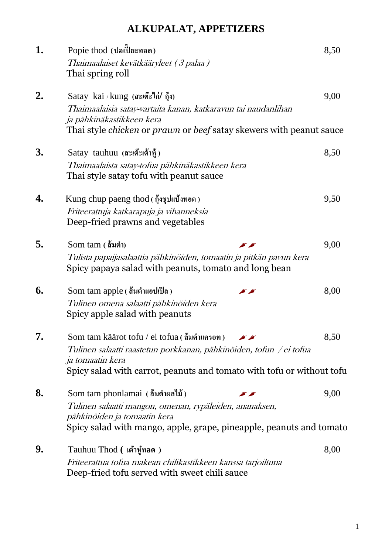# **ALKUPALAT, APPETIZERS**

| 1. | Popie thod (ปอเปี๊ยะทอด)                                                                                                     | 8,50 |  |
|----|------------------------------------------------------------------------------------------------------------------------------|------|--|
|    | Thaimaalaiset kevätkääryleet (3 palaa)<br>Thai spring roll                                                                   |      |  |
| 2. | Satay kai / kung (สะเต๊ะไก่/ กุ้ง)                                                                                           | 9,00 |  |
|    | Thaimaalaisia satay-vartaita kanan, katkaravun tai naudanlihan<br>ja pähkinäkastikkeen kera                                  |      |  |
|    | Thai style <i>chicken</i> or <i>prawn</i> or <i>beef</i> satay skewers with peanut sauce                                     |      |  |
| 3. | Satay tauhuu (สะเต๊ะเต้าหู้)                                                                                                 | 8,50 |  |
|    | Thaimaalaista satay-tofua pähkinäkastikkeen kera<br>Thai style satay tofu with peanut sauce                                  |      |  |
| 4. | Kung chup paeng thod $(\delta_{\nu}^{\dagger} \delta_{\nu})$ นี้งานอด)                                                       | 9,50 |  |
|    | Friteerattuja katkarapuja ja vihanneksia<br>Deep-fried prawns and vegetables                                                 |      |  |
| 5. | Som tam (ส้มตำ)                                                                                                              | 9,00 |  |
|    | Tulista papaijasalaattia pähkinöiden, tomaatin ja pitkän pavun kera<br>Spicy papaya salad with peanuts, tomato and long bean |      |  |
| 6. | Som tam apple (ส้มตำแอปเปิล)                                                                                                 | 8,00 |  |
|    | Tulinen omena salaatti pähkinöiden kera<br>Spicy apple salad with peanuts                                                    |      |  |
| 7. | Som tam käärot tofu / ei tofua ( ส้มตำแครอท )                                                                                | 8,50 |  |
|    | Tulinen salaatti raastetun porkkanan, pähkinöiden, tofun /ei tofua<br>ja tomaatin kera                                       |      |  |
|    | Spicy salad with carrot, peanuts and tomato with tofu or without tofu                                                        |      |  |
| 8. | Som tam phonlamai (ส้มตำผลใน้)                                                                                               | 9,00 |  |
|    | Tulinen salaatti mangon, omenan, rypäleiden, ananaksen,<br>pähkinöiden ja tomaatin kera                                      |      |  |
|    | Spicy salad with mango, apple, grape, pineapple, peanuts and tomato                                                          |      |  |
| 9. | Tauhuu Thod ( เต้าหู้ทอด )                                                                                                   | 8,00 |  |
|    | Friteerattua tofua makean chilikastikkeen kanssa tarjoiltuna<br>Deep-fried tofu served with sweet chili sauce                |      |  |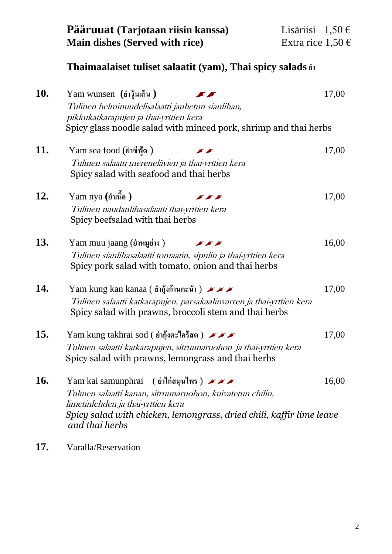| Pääruuat (Tarjotaan riisin kanssa)    | Lisäriisi $1,50 \in$  |  |
|---------------------------------------|-----------------------|--|
| <b>Main dishes (Served with rice)</b> | Extra rice $1,50 \in$ |  |

## **Thaimaalaiset tuliset salaatit (yam), Thai spicy salads** ยำ

| <b>10.</b> | Yam wunsen $(i)$ วุ้นเส้น)<br>Tulinen helminuudelisalaatti jauhetun sianlihan,<br>pikkukatkarapujen ja thai-yrttien kera<br>Spicy glass noodle salad with minced pork, shrimp and thai herbs                                                                                                                                                                                                                                                                                                              | 17,00 |
|------------|-----------------------------------------------------------------------------------------------------------------------------------------------------------------------------------------------------------------------------------------------------------------------------------------------------------------------------------------------------------------------------------------------------------------------------------------------------------------------------------------------------------|-------|
| 11.        | Yam sea food (ยำซีฟู้ด)<br>Tulinen salaatti merenelävien ja thai-yrttien kera<br>Spicy salad with seafood and thai herbs                                                                                                                                                                                                                                                                                                                                                                                  | 17,00 |
| <b>12.</b> | Yam nya (ยำเนื้อ)<br>$\sim$ $\sim$ $\sim$<br>Tulinen naudanlihasalaatti thai-yrttien kera<br>Spicy beefsalad with thai herbs                                                                                                                                                                                                                                                                                                                                                                              | 17,00 |
| 13.        | Yam muu jaang (ยำหมูย่าง)<br>$\begin{picture}(130,20) \put(0,0){\line(1,0){10}} \put(15,0){\line(1,0){10}} \put(15,0){\line(1,0){10}} \put(15,0){\line(1,0){10}} \put(15,0){\line(1,0){10}} \put(15,0){\line(1,0){10}} \put(15,0){\line(1,0){10}} \put(15,0){\line(1,0){10}} \put(15,0){\line(1,0){10}} \put(15,0){\line(1,0){10}} \put(15,0){\line(1,0){10}} \put(15,0){\line($<br>Tulinen sianlihasalaatti tomaatin, sipulin ja thai-yrttien kera<br>Spicy pork salad with tomato, onion and thai herbs | 16,00 |
| 14.        | Yam kung kan kanaa ( ยำกุ้งก้านคะน้ำ ) $\blacktriangleright$ $\blacktriangleright$ $\blacktriangleright$<br>Tulinen salaatti katkarapujen, parsakaalinvarren ja thai-yrttien kera<br>Spicy salad with prawns, broccoli stem and thai herbs                                                                                                                                                                                                                                                                | 17,00 |
| 15.        | Yam kung takhrai sod ( ยำกุ้งตะไคร้สด) $\blacktriangleright$<br>Tulinen salaatti katkarapujen, sitruunaruohon ja thai-yrttien kera<br>Spicy salad with prawns, lemongrass and thai herbs                                                                                                                                                                                                                                                                                                                  | 17,00 |
| <b>16.</b> | Yam kai samunphrai (ยำใก่สมุนไพร) $\blacktriangleright$<br>Tulinen salaatti kanan, sitruunaruohon, kuivatetun chilin,<br>limetinlehden ja thai-yrttien kera<br>Spicy salad with chicken, lemongrass, dried chili, kaffir lime leave<br>and thai herbs                                                                                                                                                                                                                                                     | 16,00 |

**17.** Varalla/Reservation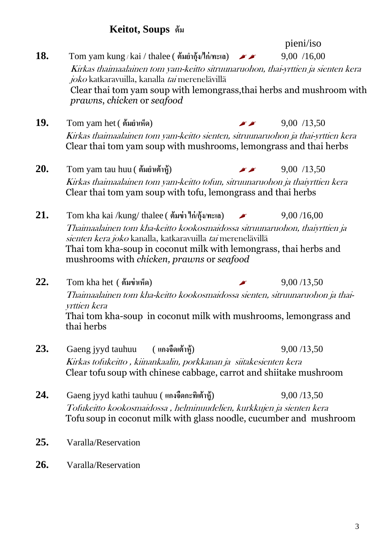#### **Keitot, Soups ต้ม**

- pieni/iso **18.** Tom yam kung / kai / thalee ( ต้มยำกัง/ไก่/ทะเล)  $\rightarrow$  9.00 / 16,00 Kirkas thaimaalainen tom yam-keitto sitruunaruohon, thai-yrttien ja sienten kera joko katkaravuilla, kanalla tai merenelävillä Clear thai tom yam soup with lemongrass,thai herbs and mushroom with *prawns*, *chicken* or *seafood* **19.** Tom yam het ( ต้มยำเห็ด)  $\blacksquare$   $\blacksquare$  9,00 /13,50 Kirkas thaimaalainen tom yam-keitto sienten, sitruunaruohon ja thai-yrttien kera Clear thai tom yam soup with mushrooms, lemongrass and thai herbs **20.** Tom yam tau huu ( ต้มยำเต้าห้)  $\blacksquare$   $\blacksquare$  9,00 /13,50
	- Kirkas thaimaalainen tom yam-keitto tofun, sitruunaruohon ja thaiyrttien kera Clear thai tom yam soup with tofu, lemongrass and thai herbs
- 21. Tom kha kai /kung/ thalee ( ต้มข่า ไก่/กุ้ง/ทะเล)  $\rightarrow$  9,00 /16,00 Thaimaalainen tom kha-keitto kookosmaidossa sitruunaruohon, thaiyrttien ja sienten kera joko kanalla, katkaravuilla tai merenelävillä Thai tom kha-soup in coconut milk with lemongrass, thai herbs and mushrooms with *chicken, prawns* or *seafood*
- **22.** Tom kha het ( ต้มข่าเห็ด) 9,00 /13,50 Thaimaalainen tom kha-keitto kookosmaidossa sienten, sitruunaruohon ja thaiyrttien kera Thai tom kha-soup in coconut milk with mushrooms, lemongrass and thai herbs
- **23.** Gaeng jyyd tauhuu ( **แกงจืดเต้าหู้**) 9,00 /13,50 Kirkas tofukeitto , kiinankaalin, porkkanan ja siitakesienten kera Clear tofu soup with chinese cabbage, carrot and shiitake mushroom
- **24.** Gaeng jyyd kathi tauhuu ( **แกงจืดกะทิเต้าหู้**) 9,00 /13,50 Tofukeitto kookosmaidossa , helminuudelien, kurkkujen ja sienten kera Tofu soup in coconut milk with glass noodle, cucumber and mushroom
- **25.** Varalla/Reservation
- **26.** Varalla/Reservation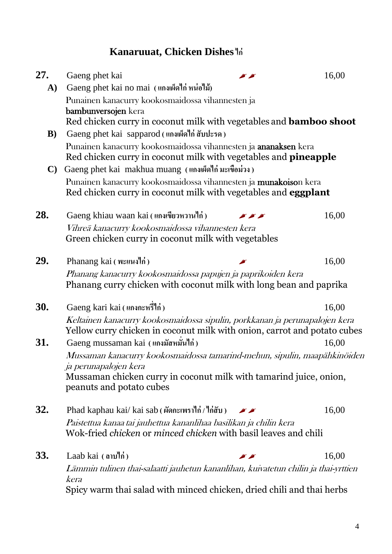## **Kanaruuat, Chicken Dishesไก่**

| 27.          | Gaeng phet kai                                                                                                                                      |                                             | 16,00 |  |
|--------------|-----------------------------------------------------------------------------------------------------------------------------------------------------|---------------------------------------------|-------|--|
| A)           | Gaeng phet kai no mai (แกงเผ็ดไก่ หน่อไม้)                                                                                                          |                                             |       |  |
|              | Punainen kanacurry kookosmaidossa vihannesten ja<br>bambunversojen kera                                                                             |                                             |       |  |
|              | Red chicken curry in coconut milk with vegetables and <b>bamboo shoot</b>                                                                           |                                             |       |  |
| B)           | Gaeng phet kai sapparod (แกงเผ็ดไก่ สับปะรด)                                                                                                        |                                             |       |  |
|              | Punainen kanacurry kookosmaidossa vihannesten ja ananaksen kera<br>Red chicken curry in coconut milk with vegetables and <b>pineapple</b>           |                                             |       |  |
| $\mathbf{C}$ | Gaeng phet kai makhua muang (แกงเผ็ดไก่ มะเขือม่วง)                                                                                                 |                                             |       |  |
|              | Punainen kanacurry kookosmaidossa vihannesten ja munakoison kera<br>Red chicken curry in coconut milk with vegetables and <b>eggplant</b>           |                                             |       |  |
| 28.          | Gaeng khiau waan kai (แกงเขียวหวานไก่)                                                                                                              |                                             | 16,00 |  |
|              | Vihreä kanacurry kookosmaidossa vihannesten kera<br>Green chicken curry in coconut milk with vegetables                                             |                                             |       |  |
| 29.          | Phanang kai (พะแนงไก่)                                                                                                                              |                                             | 16,00 |  |
|              | Phanang kanacurry kookosmaidossa papujen ja paprikoiden kera<br>Phanang curry chicken with coconut milk with long bean and paprika                  |                                             |       |  |
| <b>30.</b>   | Gaeng kari kai (แกงกะหรื่ไก่)                                                                                                                       |                                             | 16,00 |  |
|              | Keltainen kanacurry kookosmaidossa sipulin, porkkanan ja perunapalojen kera                                                                         |                                             |       |  |
|              | Yellow curry chicken in coconut milk with onion, carrot and potato cubes                                                                            |                                             |       |  |
| 31.          | Gaeng mussaman kai (แกงมัสหมั่นไก่)                                                                                                                 |                                             | 16,00 |  |
|              | Mussaman kanacurry kookosmaidossa tamarind-mehun, sipulin, maapähkinöiden<br>ja perunapalojen kera                                                  |                                             |       |  |
|              | Mussaman chicken curry in coconut milk with tamarind juice, onion,<br>peanuts and potato cubes                                                      |                                             |       |  |
| 32.          | Phad kaphau kai/ kai sab (ผัดกะเพราไก่/ไก่สับ)                                                                                                      | $\blacktriangleright$ $\blacktriangleright$ | 16,00 |  |
|              | Paistettua kanaa tai jauhettua kananlihaa basilikan ja chilin kera<br>Wok-fried <i>chicken</i> or <i>minced chicken</i> with basil leaves and chili |                                             |       |  |
| <b>33.</b>   | Laab kai $(\omega)$                                                                                                                                 |                                             | 16,00 |  |
|              | Lämmin tulinen thai-salaatti jauhetun kananlihan, kuivatetun chilin ja thai-yrttien<br>kera                                                         |                                             |       |  |
|              | Spicy warm thai salad with minced chicken, dried chili and thai herbs                                                                               |                                             |       |  |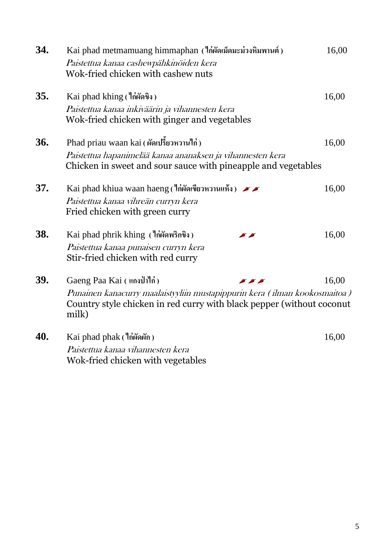| 34. | Kai phad metmamuang himmaphan (ใก่ผัดเม็ดมะม่วงหิมพานต์)<br>Paistettua kanaa cashewpähkinöiden kera<br>Wok-fried chicken with cashew nuts                   | 16,00 |
|-----|-------------------------------------------------------------------------------------------------------------------------------------------------------------|-------|
| 35. | Kai phad khing (ใก่ผัดขิง)                                                                                                                                  | 16,00 |
|     | Paistettua kanaa inkiväärin ja vihannesten kera<br>Wok-fried chicken with ginger and vegetables                                                             |       |
| 36. | Phad priau waan kai (ผัดเปรี้ยวหวานไก่)                                                                                                                     | 16,00 |
|     | Paistettua hapanimelää kanaa ananaksen ja vihannesten kera<br>Chicken in sweet and sour sauce with pineapple and vegetables                                 |       |
| 37. | Kai phad khiua waan haeng (ใก่ผัดเขียวหวานแห้ง) $\sqrt{\phantom{a}}$                                                                                        | 16,00 |
|     | Paistettua kanaa vihreän curryn kera<br>Fried chicken with green curry                                                                                      |       |
| 38. | Kai phad phrik khing (ใก่ผัดพริกขิง)                                                                                                                        | 16,00 |
|     | Paistettua kanaa punaisen curryn kera<br>Stir-fried chicken with red curry                                                                                  |       |
| 39. | Gaeng Paa Kai (แกงป่าไก่)<br><b>SAP</b>                                                                                                                     | 16,00 |
|     | Punainen kanacurry maalaistyyliin mustapippurin kera (ilman kookosmaitoa)<br>Country style chicken in red curry with black pepper (without coconut<br>milk) |       |
| 40. | Kai phad phak (ใก่ผัดผัก)                                                                                                                                   | 16,00 |
|     | Paistettua kanaa vihannesten kera<br>Wok-fried chicken with vegetables                                                                                      |       |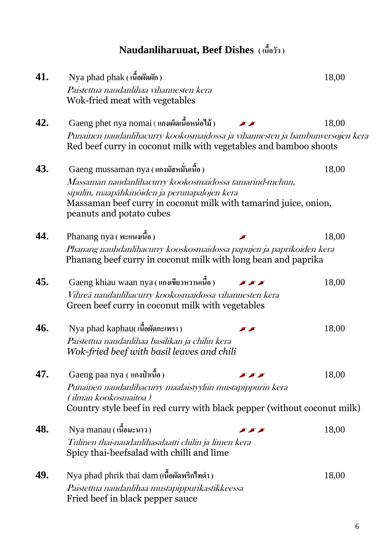**Naudanliharuuat, Beef Dishes ( เนื้อวัว )**

| 41. | Nya phad phak (เนื้อผัดผัก)                                                                                                                                                 |                                                                                                                                                                                                                                                                                                                                                                                                                       | 18,00 |  |
|-----|-----------------------------------------------------------------------------------------------------------------------------------------------------------------------------|-----------------------------------------------------------------------------------------------------------------------------------------------------------------------------------------------------------------------------------------------------------------------------------------------------------------------------------------------------------------------------------------------------------------------|-------|--|
|     | Paistettua naudanlihaa vihannesten kera<br>Wok-fried meat with vegetables                                                                                                   |                                                                                                                                                                                                                                                                                                                                                                                                                       |       |  |
| 42. | Gaeng phet nya nomai (แกงเผ็ดเนื้อหน่อไม้)                                                                                                                                  |                                                                                                                                                                                                                                                                                                                                                                                                                       | 18,00 |  |
|     | Punainen naudanlihacurry kookosmaidossa ja vihannesten ja bambunversojen kera<br>Red beef curry in coconut milk with vegetables and bamboo shoots                           |                                                                                                                                                                                                                                                                                                                                                                                                                       |       |  |
| 43. | Gaeng mussaman nya (แกงมัสหมั่นเนื้อ)                                                                                                                                       |                                                                                                                                                                                                                                                                                                                                                                                                                       | 18,00 |  |
|     | Massaman naudanlihacurry kookosmaidossa tamarind-mehun,<br>sipulin, maapähkinöiden ja perunapalojen kera<br>Massaman beef curry in coconut milk with tamarind juice, onion, |                                                                                                                                                                                                                                                                                                                                                                                                                       |       |  |
|     | peanuts and potato cubes                                                                                                                                                    |                                                                                                                                                                                                                                                                                                                                                                                                                       |       |  |
| 44. | Phanang nya (พะแนงเนื้อ)                                                                                                                                                    |                                                                                                                                                                                                                                                                                                                                                                                                                       | 18,00 |  |
|     | Phanang nauhdanlihacurry kooskosmaidossa papujen ja paprikoiden kera<br>Phanang beef curry in coconut milk with long bean and paprika                                       |                                                                                                                                                                                                                                                                                                                                                                                                                       |       |  |
| 45. | Gaeng khiau waan nya (แกงเขียวหวานเนื้อ)                                                                                                                                    | $\begin{picture}(130,20) \put(0,0){\dashbox{0.5}(10,0){ }} \thicklines \put(0,0){\dashbox{0.5}(10,0){ }} \thicklines \put(0,0){\dashbox{0.5}(10,0){ }} \thicklines \put(0,0){\dashbox{0.5}(10,0){ }} \thicklines \put(0,0){\dashbox{0.5}(10,0){ }} \thicklines \put(0,0){\dashbox{0.5}(10,0){ }} \thicklines \put(0,0){\dashbox{0.5}(10,0){ }} \thicklines \put(0,0){\dashbox{0.5}(10,0){ }} \thicklines \put(0,0){\$ | 18,00 |  |
|     | Vihreä naudanlihacurry kookosmaidossa vihannesten kera<br>Green beef curry in coconut milk with vegetables                                                                  |                                                                                                                                                                                                                                                                                                                                                                                                                       |       |  |
| 46. | Nya phad kaphau(เนื้อผัดกะเพรา)                                                                                                                                             |                                                                                                                                                                                                                                                                                                                                                                                                                       | 18,00 |  |
|     | Paistettua naudanlihaa basilikan ja chilin kera<br>Wok-fried beef with basil leaves and chili                                                                               |                                                                                                                                                                                                                                                                                                                                                                                                                       |       |  |
| 47. | Gaeng paa nya (แกงป่าเนื้อ)                                                                                                                                                 |                                                                                                                                                                                                                                                                                                                                                                                                                       | 18,00 |  |
|     | Punainen naudanlihacurry maalaistyyliin mustapippurin kera                                                                                                                  |                                                                                                                                                                                                                                                                                                                                                                                                                       |       |  |
|     | (ilman kookosmaitoa)<br>Country style beef in red curry with black pepper (without coconut milk)                                                                            |                                                                                                                                                                                                                                                                                                                                                                                                                       |       |  |
| 48. | Nya manau (เนื้อมะนาว)                                                                                                                                                      |                                                                                                                                                                                                                                                                                                                                                                                                                       | 18,00 |  |
|     | Tulinen thai-naudanlihasalaatti chilin ja limen kera<br>Spicy thai-beefsalad with chilli and lime                                                                           |                                                                                                                                                                                                                                                                                                                                                                                                                       |       |  |
| 49. | Nya phad phrik thai dam (เนื้อผัดพริกไทดำ)                                                                                                                                  |                                                                                                                                                                                                                                                                                                                                                                                                                       | 18,00 |  |
|     | Paistettua naudanlihaa mustapippurikastikkeessa<br>Fried beef in black pepper sauce                                                                                         |                                                                                                                                                                                                                                                                                                                                                                                                                       |       |  |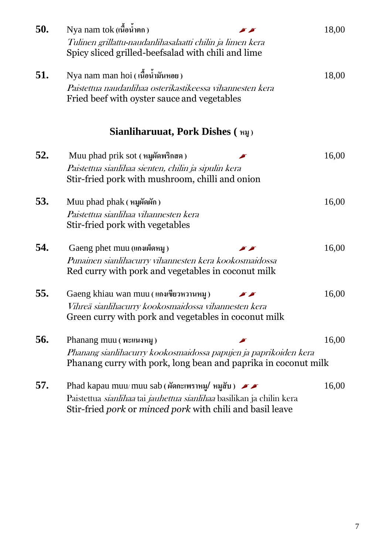| 50. | Nya nam tok (เนื้อน้ำตก)<br>Tulinen grillattu-naudanlihasalaatti chilin ja limen kera<br>Spicy sliced grilled-beefsalad with chili and lime                                                                             | 18,00 |
|-----|-------------------------------------------------------------------------------------------------------------------------------------------------------------------------------------------------------------------------|-------|
| 51. | Nya nam man hoi (เนื้อน้ำมันหอย)<br>Paistettua naudanlihaa osterikastikeessa vihannesten kera<br>Fried beef with oyster sauce and vegetables                                                                            | 18,00 |
|     | Sianliharuuat, Pork Dishes ( หมู)                                                                                                                                                                                       |       |
| 52. | Muu phad prik sot (หมูผัดพริกสด)<br>Paistettua sianlihaa sienten, chilin ja sipulin kera<br>Stir-fried pork with mushroom, chilli and onion                                                                             | 16,00 |
| 53. | Muu phad phak ( หมูผัดผัก)<br>Paistettua sianlihaa vihannesten kera<br>Stir-fried pork with vegetables                                                                                                                  | 16,00 |
| 54. | Gaeng phet muu (แกงเผ็ดหมู)<br>$\blacktriangleright$ $\blacktriangleright$<br>Punainen sianlihacurry vihannesten kera kookosmaidossa<br>Red curry with pork and vegetables in coconut milk                              | 16,00 |
| 55. | Gaeng khiau wan muu (แกงเขียวหวานหมู)<br>Vihreä sianlihacurry kookosmaidossa vihannesten kera<br>Green curry with pork and vegetables in coconut milk                                                                   | 16,00 |
| 56. | Phanang muu (พะแนงหมู)<br>Phanang sianlihacurry kookosmaidossa papujen ja paprikoiden kera<br>Phanang curry with pork, long bean and paprika in coconut milk                                                            | 16,00 |
| 57. | Phad kapau muu/muu sab (ผัดกะเพราหมู/ หมูสับ) $\blacktriangleright$<br>Paistettua <i>sianlihaa</i> tai <i>jauhettua sianlihaa</i> basilikan ja chilin kera<br>Stir-fried pork or minced pork with chili and basil leave | 16,00 |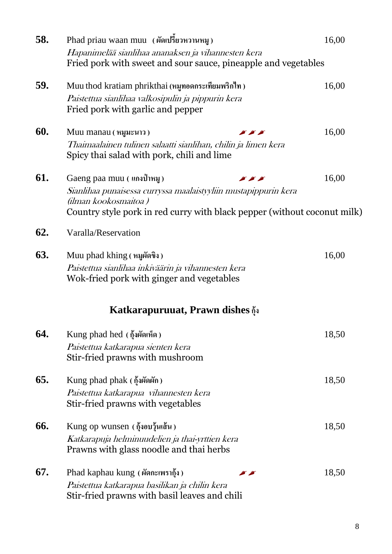| 58. | Phad priau waan muu (ผัดเปรียวหวานหมู)                                                    | 16,00 |  |  |
|-----|-------------------------------------------------------------------------------------------|-------|--|--|
|     | Hapanimelää sianlihaa ananaksen ja vihannesten kera                                       |       |  |  |
|     | Fried pork with sweet and sour sauce, pineapple and vegetables                            |       |  |  |
| 59. | Muu thod kratiam phrikthai (หมูทอดกระเทียมพริกไท)                                         | 16,00 |  |  |
|     | Paistettua sianlihaa valkosipulin ja pippurin kera                                        |       |  |  |
|     | Fried pork with garlic and pepper                                                         |       |  |  |
| 60. | Muu manau (หมูมะนาว)<br>$\blacktriangleright$ $\blacktriangleright$ $\blacktriangleright$ | 16,00 |  |  |
|     | Thaimaalainen tulinen salaatti sianlihan, chilin ja limen kera                            |       |  |  |
|     | Spicy thai salad with pork, chili and lime                                                |       |  |  |
| 61. | Gaeng paa muu (แกงป่าหมู)<br>$\sim$ $\sim$ $\sim$                                         | 16,00 |  |  |
|     | Sianlihaa punaisessa curryssa maalaistyyliin mustapippurin kera                           |       |  |  |
|     | (ilman kookosmaitoa)                                                                      |       |  |  |
|     | Country style pork in red curry with black pepper (without coconut milk)                  |       |  |  |
| 62. | Varalla/Reservation                                                                       |       |  |  |
| 63. | Muu phad khing (หมูผัดขิง)                                                                | 16,00 |  |  |
|     | Paistettua sianlihaa inkiväärin ja vihannesten kera                                       |       |  |  |
|     | Wok-fried pork with ginger and vegetables                                                 |       |  |  |
|     | Katkarapuruuat, Prawn dishes $\tilde{\phi}$                                               |       |  |  |
| 64. | Kung phad hed (กุ้งผัดเห็ด)                                                               | 18,50 |  |  |
|     | Paistettua katkarapua sienten kera                                                        |       |  |  |
|     | Stir-fried prawns with mushroom                                                           |       |  |  |
| 65. | Kung phad phak ( กุ้งผัดผัก)                                                              | 18,50 |  |  |
|     | Paistettua katkarapua vihannesten kera                                                    |       |  |  |
|     | Stir-fried prawns with vegetables                                                         |       |  |  |
| 66. | Kung op wunsen $(\delta_1^2)$ จอบรุ้นเส้น)                                                | 18,50 |  |  |
|     | Katkarapuja helminuudelien ja thai-yrttien kera                                           |       |  |  |
|     | Prawns with glass noodle and thai herbs                                                   |       |  |  |
| 67. | Phad kaphau kung (ผัดกะเพรากุ้ง)<br>y y                                                   | 18,50 |  |  |
|     | Paistettua katkarapua basilikan ja chilin kera                                            |       |  |  |
|     | Stir-fried prawns with basil leaves and chili                                             |       |  |  |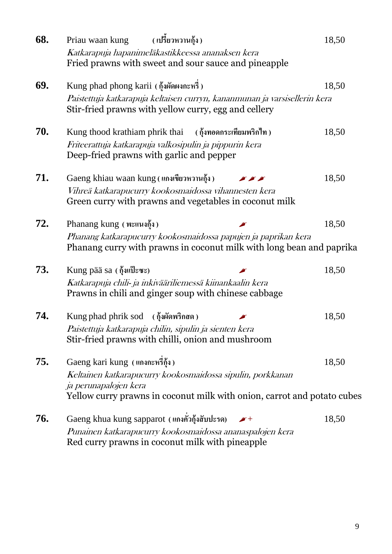| 68. | Priau waan kung<br>( เปรียวหวานกุ้ง )                                                                                                  | 18,50 |
|-----|----------------------------------------------------------------------------------------------------------------------------------------|-------|
|     | Katkarapuja hapanimeläkastikkeessa ananaksen kera<br>Fried prawns with sweet and sour sauce and pineapple                              |       |
| 69. | Kung phad phong karii (กุ้งผัดผงกะหรี่)                                                                                                | 18,50 |
|     | Paistettuja katkarapuja keltaisen curryn, kananmunan ja varsisellerin kera<br>Stir-fried prawns with yellow curry, egg and cellery     |       |
| 70. | Kung thood krathiam phrik thai $($ กุ้งทอดกระเทียมพริกไท)                                                                              | 18,50 |
|     | Friteerattuja katkarapuja valkosipulin ja pippurin kera<br>Deep-fried prawns with garlic and pepper                                    |       |
| 71. | Gaeng khiau waan kung (แกงเขียวหวานกุ้ง)<br>$\blacktriangleright$ $\blacktriangleright$ $\blacktriangleright$                          | 18,50 |
|     | Vihreä katkarapucurry kookosmaidossa vihannesten kera<br>Green curry with prawns and vegetables in coconut milk                        |       |
| 72. | Phanang kung (พะแนงกุ้ง)                                                                                                               | 18,50 |
|     | Phanang katkarapucurry kookosmaidossa papujen ja paprikan kera<br>Phanang curry with prawns in coconut milk with long bean and paprika |       |
| 73. | Kung pää sa (กุ้งแป๊ะซะ)                                                                                                               | 18,50 |
|     | Katkarapuja chili- ja inkivääriliemessä kiinankaalin kera<br>Prawns in chili and ginger soup with chinese cabbage                      |       |
| 74. | Kung phad phrik sod (กุ้งผัดพริกสด)                                                                                                    | 18,50 |
|     | Paistettuja katkarapuja chilin, sipulin ja sienten kera<br>Stir-fried prawns with chilli, onion and mushroom                           |       |
| 75. | Gaeng kari kung (แกงกะหรี่กุ้ง)                                                                                                        | 18,50 |
|     | Keltainen katkarapucurry kookosmaidossa sipulin, porkkanan<br>ja perunapalojen kera                                                    |       |
|     | Yellow curry prawns in coconut milk with onion, carrot and potato cubes                                                                |       |
| 76. | Gaeng khua kung sapparot (แกงคั่วกุ้งสับปะรด)<br>$\sqrt{ }$                                                                            | 18,50 |
|     | Punainen katkarapucurry kookosmaidossa ananaspalojen kera<br>Red curry prawns in coconut milk with pineapple                           |       |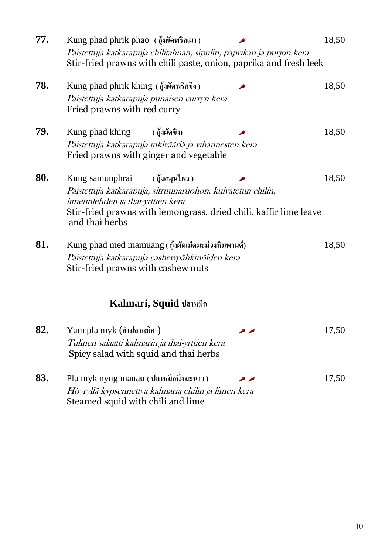| 77. | Kung phad phrik phao (กุ้งผัดพริกเผา)<br>Paistettuja katkarapuja chilitahnan, sipulin, paprikan ja purjon kera<br>Stir-fried prawns with chili paste, onion, paprika and fresh leek                         |                                                                                         |                                             | 18,50 |
|-----|-------------------------------------------------------------------------------------------------------------------------------------------------------------------------------------------------------------|-----------------------------------------------------------------------------------------|---------------------------------------------|-------|
| 78. | Kung phad phrik khing (กุ้งผัดพริกขิง)<br>Paistettuja katkarapuja punaisen curryn kera<br>Fried prawns with red curry                                                                                       |                                                                                         |                                             | 18,50 |
| 79. | Kung phad khing<br>Paistettuja katkarapuja inkivääriä ja vihannesten kera<br>Fried prawns with ginger and vegetable                                                                                         | ( กุ้งผัดขิง)                                                                           |                                             | 18,50 |
| 80. | Kung samunphrai<br>Paistettuja katkarapuja, sitruunaruohon, kuivatetun chilin,<br>limetinlehden ja thai-yrttien kera<br>Stir-fried prawns with lemongrass, dried chili, kaffir lime leave<br>and thai herbs | ( กุ้งสมุนไพร )                                                                         |                                             | 18,50 |
| 81. | Kung phad med mamuang ( กุ้งผัดเม็ดมะม่วงหิมพานต์)<br>Paistettuja katkarapuja cashewpähkinöiden kera<br>Stir-fried prawns with cashew nuts                                                                  |                                                                                         |                                             | 18,50 |
|     |                                                                                                                                                                                                             | Kalmari, Squid ปลาหมึก                                                                  |                                             |       |
| 82. | Yam pla myk (ยำปลาหมึก)                                                                                                                                                                                     | Tulinen salaatti kalmarin ja thai-yrttien kera<br>Spicy salad with squid and thai herbs | $\blacktriangleright$ $\blacktriangleright$ | 17,50 |
| 83. | Pla myk nyng manau (ปลาหมึกนี้งมะนาว)<br>Höyryllä kypsennettya kalmaria chilin ja limen kera<br>Steamed squid with chili and lime                                                                           |                                                                                         |                                             | 17,50 |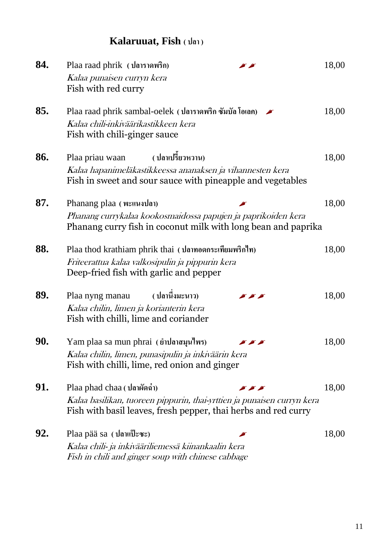## **Kalaruuat, Fish ( ปลา )**

| 84. | Plaa raad phrik (ปลาราดพริก)<br>Kalaa punaisen curryn kera<br>Fish with red curry                                                                                                 | 18,00 |
|-----|-----------------------------------------------------------------------------------------------------------------------------------------------------------------------------------|-------|
| 85. | Plaa raad phrik sambal-oelek (ปลาราดพริก ซัมบัล โอเลค)<br>Kalaa chili-inkiväärikastikkeen kera<br>Fish with chili-ginger sauce                                                    | 18,00 |
| 86. | ( ปลาเปรี้ยวหวาน)<br>Plaa priau waan<br>Kalaa hapanimeläkastikkeessa ananaksen ja vihannesten kera<br>Fish in sweet and sour sauce with pineapple and vegetables                  | 18,00 |
| 87. | Phanang plaa (พะแนงปลา)<br>Phanang currykalaa kookosmaidossa papujen ja paprikoiden kera<br>Phanang curry fish in coconut milk with long bean and paprika                         | 18,00 |
| 88. | Plaa thod krathiam phrik thai (ปลาทอดกระเทียมพริกใท)<br>Friteerattua kalaa valkosipulin ja pippurin kera<br>Deep-fried fish with garlic and pepper                                | 18,00 |
| 89. | ( ปลานึ่งมะนาว)<br>Plaa nyng manau<br>$\sim$ $\sim$ $\sim$<br>Kalaa chilin, limen ja korianterin kera<br>Fish with chilli, lime and coriander                                     | 18,00 |
| 90. | Yam plaa sa mun phrai (ยำปลาสมุนไพร)<br>Kalaa chilin, limen, punasipulin ja inkiväärin kera<br>Fish with chilli, lime, red onion and ginger                                       | 18,00 |
| 91. | Plaa phad chaa (ปลาผัดฉ่า)<br>$\sum$<br>Kalaa basilikan, tuoreen pippurin, thai-yrttien ja punaisen curryn kera<br>Fish with basil leaves, fresh pepper, thai herbs and red curry | 18,00 |
| 92. | Plaa pää sa (ปลาแป๊ะซะ)<br>Kalaa chili- ja inkivääriliemessä kiinankaalin kera<br>Fish in chili and ginger soup with chinese cabbage                                              | 18,00 |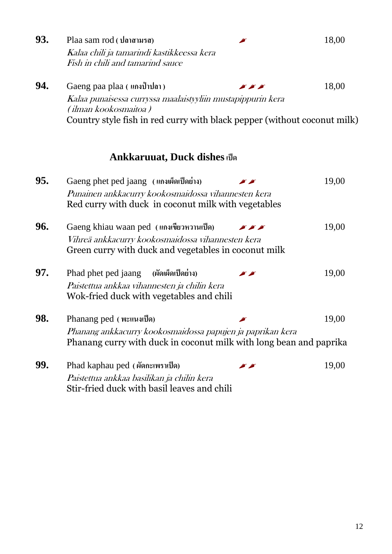| 93. | Plaa sam rod (ปลาสามรส)                                                                                                          |               | 18,00 |
|-----|----------------------------------------------------------------------------------------------------------------------------------|---------------|-------|
|     | Kalaa chili ja tamarindi kastikkeessa kera<br>Fish in chili and tamarind sauce                                                   |               |       |
| 94. | Gaeng paa plaa (แกงป่าปลา)                                                                                                       | <b>SACTO</b>  | 18,00 |
|     | Kalaa punaisessa curryssa maalaistyyliin mustapippurin kera<br>(ilman kookosmaitoa )                                             |               |       |
|     | Country style fish in red curry with black pepper (without coconut milk)                                                         |               |       |
|     | <b>Ankkaruuat, Duck dishes เป็ด</b>                                                                                              |               |       |
| 95. | Gaeng phet ped jaang (แกงเผ็ดเป็ดย่าง)                                                                                           |               | 19,00 |
|     | Punainen ankkacurry kookosmaidossa vihannesten kera<br>Red curry with duck in coconut milk with vegetables                       |               |       |
| 96. | Gaeng khiau waan ped (แกงเขียวหวานเป็ด)                                                                                          | $\mathcal{L}$ | 19,00 |
|     | Vihreä ankkacurry kookosmaidossa vihannesten kera<br>Green curry with duck and vegetables in coconut milk                        |               |       |
| 97. | (ผัดเผ็ดเป็ดย่าง)<br>Phad phet ped jaang                                                                                         |               | 19,00 |
|     | Paistettua ankkaa vihannesten ja chilin kera<br>Wok-fried duck with vegetables and chili                                         |               |       |
| 98. | Phanang ped (พะแนงเป็ด)                                                                                                          |               | 19,00 |
|     | Phanang ankkacurry kookosmaidossa papujen ja paprikan kera<br>Phanang curry with duck in coconut milk with long bean and paprika |               |       |
| 99. | Phad kaphau ped (ผัดกะเพราเป็ด)                                                                                                  |               | 19,00 |
|     | Paistettua ankkaa basilikan ja chilin kera<br>Stir-fried duck with basil leaves and chili                                        |               |       |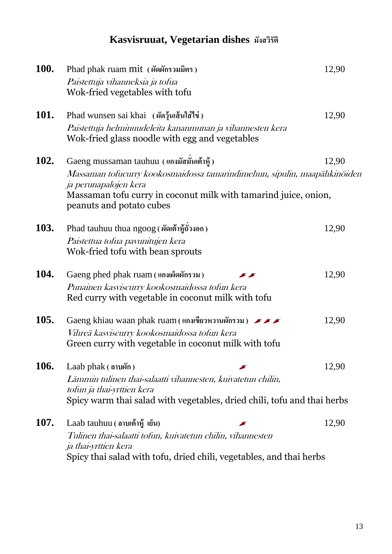## **Kasvisruuat, Vegetarian dishes มังสวิรัติ**

| <b>100.</b> | Phad phak ruam mit (ผัดผักรวมมิตร)<br>Paistettuja vihanneksia ja tofua<br>Wok-fried vegetables with tofu                                                                                                                                      | 12,90 |
|-------------|-----------------------------------------------------------------------------------------------------------------------------------------------------------------------------------------------------------------------------------------------|-------|
| <b>101.</b> | Phad wunsen sai khai (ผัดวุ้นเส้นใส่ไข่)<br>Paistettuja helminuudeleita kananmunan ja vihannesten kera<br>Wok-fried glass noodle with egg and vegetables                                                                                      | 12,90 |
| <b>102.</b> | Gaeng mussaman tauhuu (แกงมัสมันเต้าหู้)<br>Massaman tofucurry kookosmaidossa tamarindimehun, sipulin, maapähkinöiden<br>ja perunapalojen kera<br>Massaman tofu curry in coconut milk with tamarind juice, onion,<br>peanuts and potato cubes | 12,90 |
| <b>103.</b> | Phad tauhuu thua ngoog (ผัดเต้าหู้ถั่วงอก)<br>Paistettua tofua pavunitujen kera<br>Wok-fried tofu with bean sprouts                                                                                                                           | 12,90 |
| <b>104.</b> | Gaeng phed phak ruam (แกงเผ็ดผักรวม)<br>Punainen kasviscurry kookosmaidossa tofun kera<br>Red curry with vegetable in coconut milk with tofu                                                                                                  | 12,90 |
| <b>105.</b> | Gaeng khiau waan phak ruam (แกงเขียวหวานผักรวม) FFF<br>Vihreä kasviscurry kookosmaidossa tofun kera<br>Green curry with vegetable in coconut milk with tofu                                                                                   | 12,90 |
| 106.        | Laab $phak($ anvara $)$<br>Lämmin tulinen thai-salaatti vihannesten, kuivatetun chilin,<br>tofun ja thai-yrttien kera<br>Spicy warm thai salad with vegetables, dried chili, tofu and thai herbs                                              | 12,90 |
| <b>107.</b> | Laab tauhuu ( ดาบเต้าหู้ เย็น)<br>Tulinen thai-salaatti tofun, kuivatetun chilin, vihannesten<br>ja thai-yrttien kera<br>Spicy thai salad with tofu, dried chili, vegetables, and thai herbs                                                  | 12,90 |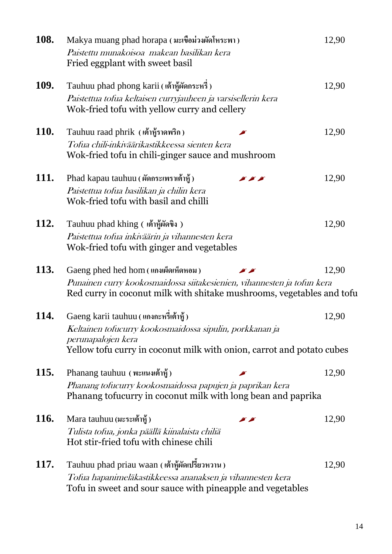| 108.        | Makya muang phad horapa (มะเขือม่วงผัดโหระพา)<br>Paistettu munakoisoa makean basilikan kera<br>Fried eggplant with sweet basil                                                                  | 12,90 |
|-------------|-------------------------------------------------------------------------------------------------------------------------------------------------------------------------------------------------|-------|
| <b>109.</b> | Tauhuu phad phong karii (เต้าชู้ผัดกระหรี่)<br>Paistettua tofua keltaisen curryjauheen ja varsisellerin kera<br>Wok-fried tofu with yellow curry and cellery                                    | 12,90 |
| <b>110.</b> | Tauhuu raad phrik (เต้าหู้ราดพริก)<br>Tofua chili-inkiväärikastikkeessa sienten kera<br>Wok-fried tofu in chili-ginger sauce and mushroom                                                       | 12,90 |
| 111.        | Phad kapau tauhuu (ผัดกระเพราเต้าหู้)<br><b>SAS</b><br>Paistettua tofua basilikan ja chilin kera<br>Wok-fried tofu with basil and chilli                                                        | 12,90 |
| <b>112.</b> | Tauhuu phad khing ( เต้าชู้ผัดขิง )<br>Paistettua tofua inkiväärin ja vihannesten kera<br>Wok-fried tofu with ginger and vegetables                                                             | 12,90 |
| 113.        | Gaeng phed hed hom (แกงเผ็ดเห็ดหอม)<br>Punainen curry kookosmaidossa siitakesienien, vihannesten ja tofun kera<br>Red curry in coconut milk with shitake mushrooms, vegetables and tofu         | 12,90 |
| <b>114.</b> | Gaeng karii tauhuu (แกงกะหรีเต้าหู้)<br>Keltainen tofucurry kookosmaidossa sipulin, porkkanan ja<br>perunapalojen kera<br>Yellow tofu curry in coconut milk with onion, carrot and potato cubes | 12,90 |
| <b>115.</b> | Phanang tauhuu (พะแนงเต้าหู้)<br>Phanang tofucurry kookosmaidossa papujen ja paprikan kera<br>Phanang tofucurry in coconut milk with long bean and paprika                                      | 12,90 |
| <b>116.</b> | Mara tauhuu (มะระเต้าหู้)<br>Tulista tofua, jonka päällä kiinalaista chiliä<br>Hot stir-fried tofu with chinese chili                                                                           | 12,90 |
| <b>117.</b> | Tauhuu phad priau waan (เต้าหู้ผัดเปรี้ยวหวาน)<br>Tofua hapanimeläkastikkeessa ananaksen ja vihannesten kera<br>Tofu in sweet and sour sauce with pineapple and vegetables                      | 12,90 |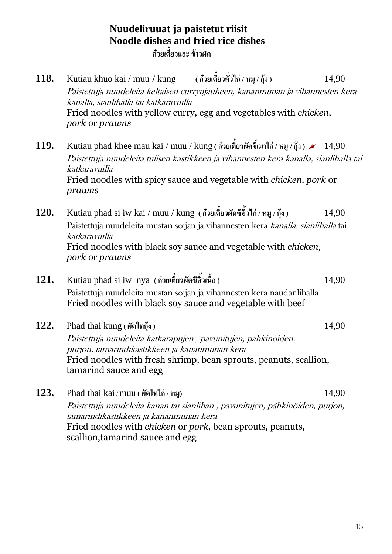## **Nuudeliruuat ja paistetut riisit Noodle dishes and fried rice dishes**

**ก๋วยเตี๋ยวและ ข้าวผัด**

- **118.** Kutiau khuo kai / muu **/** kung **( ก๋วยเตี๋ยวคั่วไก่ / หมู/กุ้ง )** 14,90 Paistettuja nuudeleita keltaisen currynjauheen, kananmunan ja vihannesten kera kanalla, sianlihalla tai katkaravuilla Fried noodles with yellow curry, egg and vegetables with *chicken*, *pork* or *prawns*
- **119.** Kutiau phad khee mau kai / muu / kung **( ก๋วยเตี๋ยวผัดขีเ้มาไก่ / หมู/กุ้ง )** 14,90 Paistettuja nuudeleita tulisen kastikkeen ja vihannesten kera kanalla, sianlihalla tai katkaravuilla Fried noodles with spicy sauce and vegetable with *chicken, pork* or *prawns*
- **120.** Kutiau phad si iw kai / muu / kung **( ก๋วยเตี๋ยวผัดซีอวิ๊ไก่ / หมู/กุ้ง )** 14,90 Paistettuja nuudeleita mustan soijan ja vihannesten kera kanalla, sianlihalla tai katkaravuilla Fried noodles with black soy sauce and vegetable with *chicken, pork* or *prawns*
- **121.** Kutiau phad si iw nya **( ก๋วยเตี๋ยวผัดซีอิ๊วเนื้อ)** 14,90 Paistettuja nuudeleita mustan soijan ja vihannesten kera naudanlihalla Fried noodles with black soy sauce and vegetable with beef

**122.** Phad thai kung **( ผัดไทกุ้ง )** 14,90 Paistettuja nuudeleita katkarapujen , pavunitujen, pähkinöiden, purjon, tamarindikastikkeen ja kananmunan kera Fried noodles with fresh shrimp, bean sprouts, peanuts, scallion, tamarind sauce and egg

**123.** Phad thai kai / muu **( ผัดไทไก่ / หมู)** 14,90 Paistettuja nuudeleita kanan tai sianlihan , pavunitujen, pähkinöiden, purjon, tamarindikastikkeen ja kananmunan kera Fried noodles with *chicken* or *pork,* bean sprouts, peanuts, scallion,tamarind sauce and egg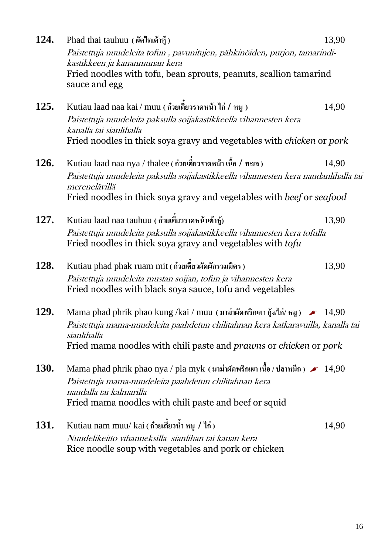| 124.        | Phad thai tauhuu (ผัดไทเต้าหู้)                                                                                                          | 13,90 |
|-------------|------------------------------------------------------------------------------------------------------------------------------------------|-------|
|             | Paistettuja nuudeleita tofun , pavunitujen, pähkinöiden, purjon, tamarindi-<br>kastikkeen ja kananmunan kera                             |       |
|             | Fried noodles with tofu, bean sprouts, peanuts, scallion tamarind<br>sauce and egg                                                       |       |
| 125.        | Kutiau laad naa kai / muu ( ก๋วยเตี๋ยวราดหน้า ไก่ / หมู )                                                                                | 14,90 |
|             | Paistettuja nuudeleita paksulla soijakastikkeella vihannesten kera<br>kanalla tai sianlihalla                                            |       |
|             | Fried noodles in thick soya gravy and vegetables with <i>chicken</i> or <i>pork</i>                                                      |       |
| <b>126.</b> | Kutiau laad naa nya / thalee ( ก๋วยเตี๋ยวราดหน้า เนื้อ / ทะเล )                                                                          | 14,90 |
|             | Paistettuja nuudeleita paksulla soijakastikkeella vihannesten kera naudanlihalla tai<br>merenelävillä                                    |       |
|             | Fried noodles in thick soya gravy and vegetables with beef or seafood                                                                    |       |
| 127.        | Kutiau laad naa tauhuu (ก๋วยเตียวราดหน้าเต้าหู้)                                                                                         | 13,90 |
|             | Paistettuja nuudeleita paksulla soijakastikkeella vihannesten kera tofulla<br>Fried noodles in thick soya gravy and vegetables with tofu |       |
| <b>128.</b> | Kutiau phad phak ruam mit ( ก๋วยเตียวผัดผักรวมมิตร )                                                                                     | 13,90 |
|             | Paistettuja nuudeleita mustan soijan, tofun ja vihannesten kera<br>Fried noodles with black soya sauce, tofu and vegetables              |       |
| 129.        | Mama phad phrik phao kung /kai / muu (มาม่าผัดพริกเผา กุ้ง/ไก่/ หมู) $\sim$ 14,90                                                        |       |
|             | Paistettuja mama-nuudeleita paahdetun chilitahnan kera katkaravuilla, kanalla tai<br>sianlihalla                                         |       |
|             | Fried mama noodles with chili paste and <i>prawns</i> or <i>chicken</i> or <i>pork</i>                                                   |       |
| <b>130.</b> | Mama phad phrik phao nya / pla myk (มาม่าผัดพริกเผา เนื้อ / ปลาหมึก) $\sim 14,90$                                                        |       |
|             | Paistettuja mama-nuudeleita paahdetun chilitahnan kera<br>naudalla tai kalmarilla                                                        |       |
|             | Fried mama noodles with chili paste and beef or squid                                                                                    |       |
| <b>131.</b> | Kutiau nam muu/kai ( ก๋วยเตี๋ยวน้ำ หมู / ไก่)                                                                                            | 14,90 |
|             | Nuudelikeitto vihanneksilla sianlihan tai kanan kera                                                                                     |       |
|             | Rice noodle soup with vegetables and pork or chicken                                                                                     |       |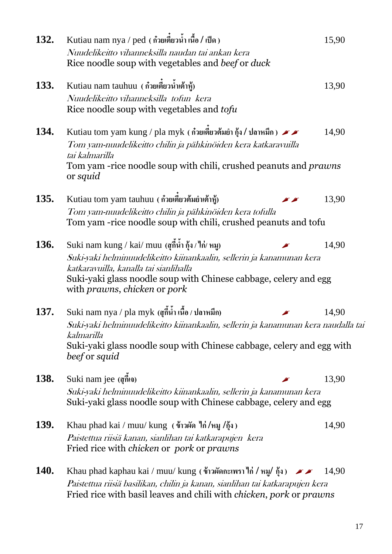| 132.        | Kutiau nam nya / ped ( ก๋วยเตียวน้ำ เนื้อ / เป็ด )                                                                                                                                                                  | 15,90 |  |
|-------------|---------------------------------------------------------------------------------------------------------------------------------------------------------------------------------------------------------------------|-------|--|
|             | Nuudelikeitto vihanneksilla naudan tai ankan kera<br>Rice noodle soup with vegetables and beef or duck                                                                                                              |       |  |
| 133.        | Kutiau nam tauhuu (ก๋วยเตี๋ยวน้ำเต้าซู้)                                                                                                                                                                            | 13,90 |  |
|             | Nuudelikeitto vihanneksilla tofun kera<br>Rice noodle soup with vegetables and tofu                                                                                                                                 |       |  |
| 134.        | Kutiau tom yam kung / pla myk ( ก๋วยเตี๋ยวต้มยำ กุ้ง / ปลาหมึก ) $\blacktriangleright$<br>Tom yam-nuudelikeitto chilin ja pähkinöiden kera katkaravuilla<br>tai kalmarilla                                          | 14,90 |  |
|             | Tom yam -rice noodle soup with chili, crushed peanuts and <i>prawns</i><br>or <i>squid</i>                                                                                                                          |       |  |
| 135.        | Kutiau tom yam tauhuu (ก๋วยเตี๋ยวต้มยำเต้าหู้)                                                                                                                                                                      | 13,90 |  |
|             | Tom yam-nuudelikeitto chilin ja pähkinöiden kera tofulla<br>Tom yam -rice noodle soup with chili, crushed peanuts and tofu                                                                                          |       |  |
| <b>136.</b> | Suki nam kung / kai/ muu (สุกี้น้ำ กุ้ง / ไก่/ หมู)                                                                                                                                                                 | 14,90 |  |
|             | Suki-yaki helminuudelikeitto kiinankaalin, sellerin ja kanamunan kera<br>katkaravuilla, kanalla tai sianlihalla<br>Suki-yaki glass noodle soup with Chinese cabbage, celery and egg<br>with prawns, chicken or pork |       |  |
| 137.        | Suki nam nya / pla myk (สุกี้น้ำ เนื้อ / ปลาหมึก)                                                                                                                                                                   | 14,90 |  |
|             | Suki-yaki helminuudelikeitto kiinankaalin, sellerin ja kanamunan kera naudalla tai<br>kalmarilla<br>Suki-yaki glass noodle soup with Chinese cabbage, celery and egg with<br>beef or squid                          |       |  |
| 138.        | Suki nam jee (สุกีเจ)                                                                                                                                                                                               | 13,90 |  |
|             | Suki-yaki helminuudelikeitto kiinankaalin, sellerin ja kanamunan kera<br>Suki-yaki glass noodle soup with Chinese cabbage, celery and egg                                                                           |       |  |
| <b>139.</b> | Khau phad kai / muu/ kung (ข้าวผัด ใก่/หมู /กุ้ง)                                                                                                                                                                   | 14,90 |  |
|             | Paistettua riisiä kanan, sianlihan tai katkarapujen kera<br>Fried rice with <i>chicken</i> or <i>pork</i> or <i>prawns</i>                                                                                          |       |  |
| <b>140.</b> | Khau phad kaphau kai / muu/ kung (ข้าวผัดกะเพรา ไก่ / หมู/ กุ้ง) $\rightarrow \rightarrow \rightarrow$                                                                                                              | 14,90 |  |
|             | Paistettua riisiä basilikan, chilin ja kanan, sianlihan tai katkarapujen kera<br>Fried rice with basil leaves and chili with <i>chicken</i> , pork or prawns                                                        |       |  |